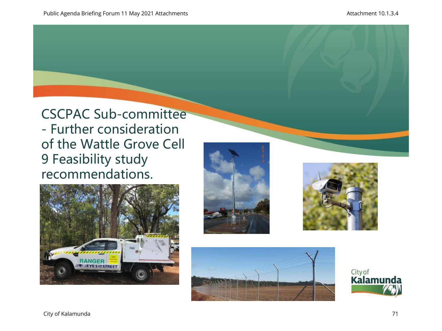CSCPAC Sub-committee - Further consideration of the Wattle Grove Cell 9 Feasibility study recommendations.









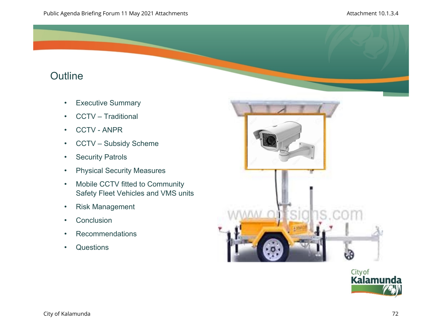# **Outline**

- Executive Summary
- CCTV Traditional
- CCTV ANPR
- CCTV Subsidy Scheme
- Security Patrols
- Physical Security Measures
- Mobile CCTV fitted to Community Safety Fleet Vehicles and VMS units
- Risk Management
- Conclusion
- Recommendations
- Questions



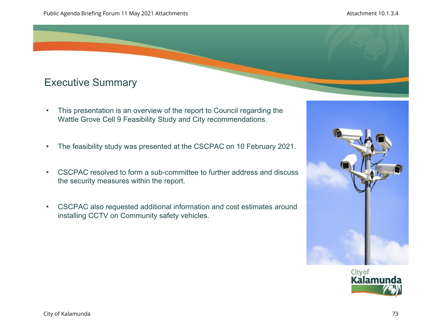# Executive Summary

- This presentation is an overview of the report to Council regarding the Wattle Grove Cell 9 Feasibility Study and City recommendations.
- The feasibility study was presented at the CSCPAC on 10 February 2021.
- CSCPAC resolved to form a sub-committee to further address and discuss the security measures within the report.
- CSCPAC also requested additional information and cost estimates around installing CCTV on Community safety vehicles.



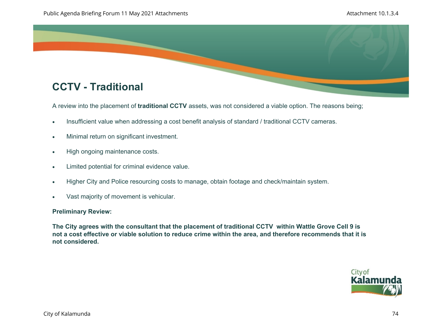

A review into the placement of **traditional CCTV** assets, was not considered a viable option. The reasons being;

- Insufficient value when addressing a cost benefit analysis of standard / traditional CCTV cameras.
- Minimal return on significant investment.
- High ongoing maintenance costs.
- Limited potential for criminal evidence value.
- Higher City and Police resourcing costs to manage, obtain footage and check/maintain system.
- Vast majority of movement is vehicular.

## **Preliminary Review:**

**The City agrees with the consultant that the placement of traditional CCTV within Wattle Grove Cell 9 is not a cost effective or viable solution to reduce crime within the area, and therefore recommends that it is not considered.** 

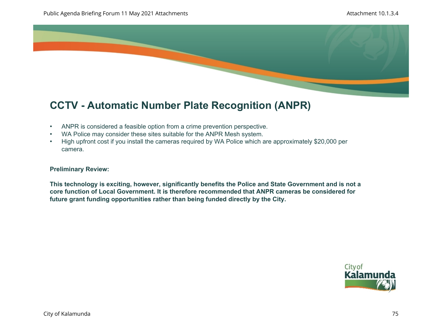

# **CCTV - Automatic Number Plate Recognition (ANPR)**

- ANPR is considered a feasible option from a crime prevention perspective.
- WA Police may consider these sites suitable for the ANPR Mesh system.
- High upfront cost if you install the cameras required by WA Police which are approximately \$20,000 per camera.

#### **Preliminary Review:**

**This technology is exciting, however, significantly benefits the Police and State Government and is not a core function of Local Government. It is therefore recommended that ANPR cameras be considered for future grant funding opportunities rather than being funded directly by the City.** 

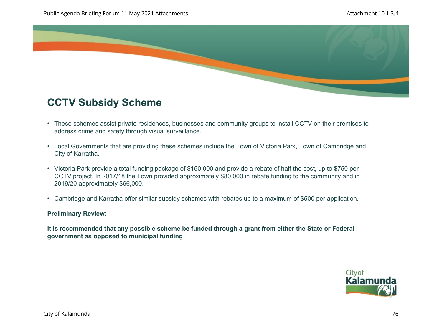

## **CCTV Subsidy Scheme**

- These schemes assist private residences, businesses and community groups to install CCTV on their premises to address crime and safety through visual surveillance.
- Local Governments that are providing these schemes include the Town of Victoria Park, Town of Cambridge and City of Karratha.
- Victoria Park provide a total funding package of \$150,000 and provide a rebate of half the cost, up to \$750 per CCTV project. In 2017/18 the Town provided approximately \$80,000 in rebate funding to the community and in 2019/20 approximately \$66,000.
- Cambridge and Karratha offer similar subsidy schemes with rebates up to a maximum of \$500 per application.

## **Preliminary Review:**

**It is recommended that any possible scheme be funded through a grant from either the State or Federal government as opposed to municipal funding**

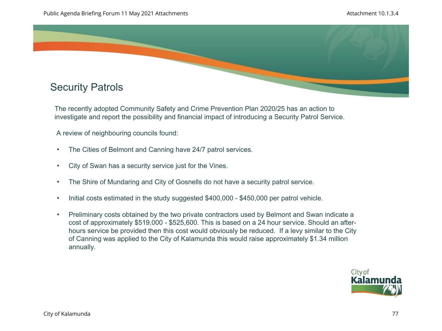

The recently adopted Community Safety and Crime Prevention Plan 2020/25 has an action to investigate and report the possibility and financial impact of introducing a Security Patrol Service.

A review of neighbouring councils found:

- The Cities of Belmont and Canning have 24/7 patrol services.
- City of Swan has a security service just for the Vines.
- The Shire of Mundaring and City of Gosnells do not have a security patrol service.
- Initial costs estimated in the study suggested \$400,000 \$450,000 per patrol vehicle.
- Preliminary costs obtained by the two private contractors used by Belmont and Swan indicate a cost of approximately \$519,000 - \$525,600. This is based on a 24 hour service. Should an afterhours service be provided then this cost would obviously be reduced. If a levy similar to the City of Canning was applied to the City of Kalamunda this would raise approximately \$1.34 million annually.

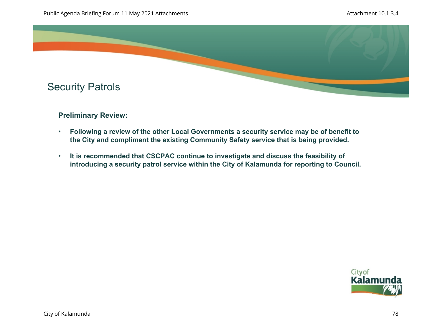

## **Preliminary Review:**

- **Following a review of the other Local Governments a security service may be of benefit to the City and compliment the existing Community Safety service that is being provided.**
- **It is recommended that CSCPAC continue to investigate and discuss the feasibility of introducing a security patrol service within the City of Kalamunda for reporting to Council.**

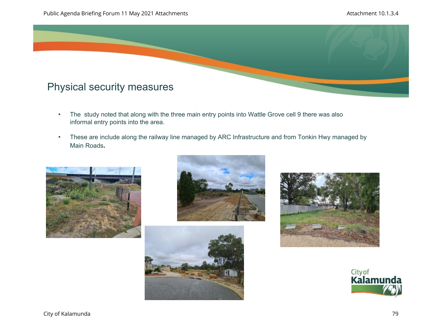

- The study noted that along with the three main entry points into Wattle Grove cell 9 there was also informal entry points into the area.
- These are include along the railway line managed by ARC Infrastructure and from Tonkin Hwy managed by Main Roads**.**









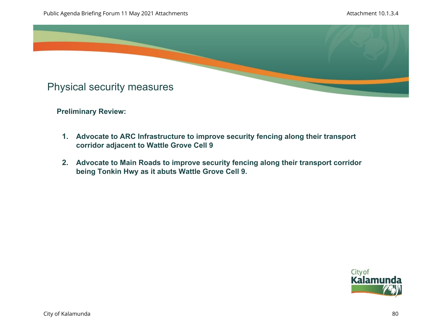

**Preliminary Review:** 

- **1. Advocate to ARC Infrastructure to improve security fencing along their transport corridor adjacent to Wattle Grove Cell 9**
- **2. Advocate to Main Roads to improve security fencing along their transport corridor being Tonkin Hwy as it abuts Wattle Grove Cell 9.**

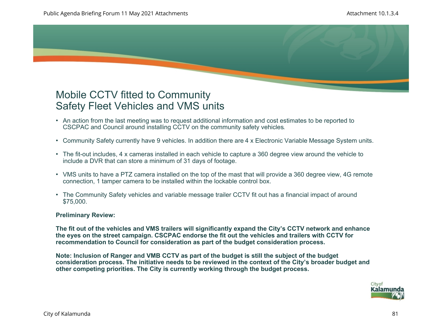## Mobile CCTV fitted to Community Safety Fleet Vehicles and VMS units

- An action from the last meeting was to request additional information and cost estimates to be reported to CSCPAC and Council around installing CCTV on the community safety vehicles.
- Community Safety currently have 9 vehicles. In addition there are 4 x Electronic Variable Message System units.
- The fit-out includes, 4 x cameras installed in each vehicle to capture a 360 degree view around the vehicle to include a DVR that can store a minimum of 31 days of footage.
- VMS units to have a PTZ camera installed on the top of the mast that will provide a 360 degree view, 4G remote connection, 1 tamper camera to be installed within the lockable control box.
- The Community Safety vehicles and variable message trailer CCTV fit out has a financial impact of around \$75,000.

## **Preliminary Review:**

**The fit out of the vehicles and VMS trailers will significantly expand the City's CCTV network and enhance the eyes on the street campaign. CSCPAC endorse the fit out the vehicles and trailers with CCTV for recommendation to Council for consideration as part of the budget consideration process.** 

**Note: Inclusion of Ranger and VMB CCTV as part of the budget is still the subject of the budget consideration process. The initiative needs to be reviewed in the context of the City's broader budget and other competing priorities. The City is currently working through the budget process.** 

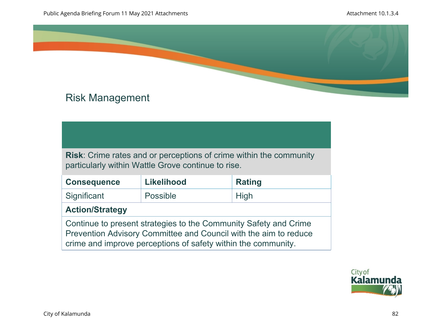

# Risk Management

**Risk**: Crime rates and or perceptions of crime within the community particularly within Wattle Grove continue to rise.

| <b>Consequence</b>                                                                                                                   | <b>Likelihood</b> | <b>Rating</b> |
|--------------------------------------------------------------------------------------------------------------------------------------|-------------------|---------------|
| Significant                                                                                                                          | Possible          | <b>High</b>   |
| <b>Action/Strategy</b>                                                                                                               |                   |               |
| Continue to present strategies to the Community Safety and Crime<br>Prevention Advisory Committee and Council with the aim to reduce |                   |               |

crime and improve perceptions of safety within the community.

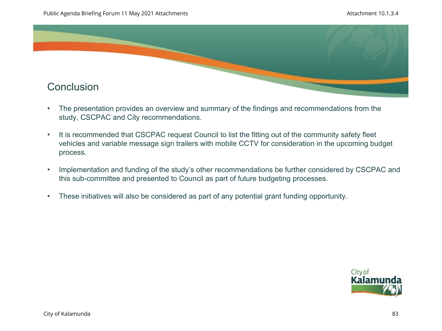

- The presentation provides an overview and summary of the findings and recommendations from the study, CSCPAC and City recommendations.
- It is recommended that CSCPAC request Council to list the fitting out of the community safety fleet vehicles and variable message sign trailers with mobile CCTV for consideration in the upcoming budget process.
- Implementation and funding of the study's other recommendations be further considered by CSCPAC and this sub-committee and presented to Council as part of future budgeting processes.
- These initiatives will also be considered as part of any potential grant funding opportunity.

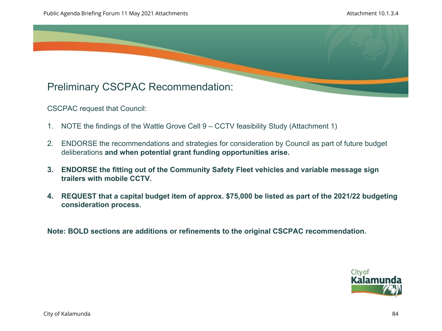

CSCPAC request that Council:

- 1. NOTE the findings of the Wattle Grove Cell 9 CCTV feasibility Study (Attachment 1)
- 2. ENDORSE the recommendations and strategies for consideration by Council as part of future budget deliberations **and when potential grant funding opportunities arise.**
- **3. ENDORSE the fitting out of the Community Safety Fleet vehicles and variable message sign trailers with mobile CCTV.**
- **4. REQUEST that a capital budget item of approx. \$75,000 be listed as part of the 2021/22 budgeting consideration process.**

**Note: BOLD sections are additions or refinements to the original CSCPAC recommendation.** 

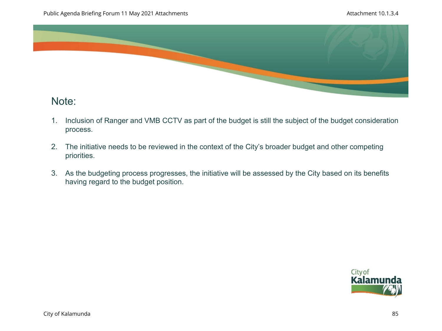

## Note:

- 1. Inclusion of Ranger and VMB CCTV as part of the budget is still the subject of the budget consideration process.
- 2. The initiative needs to be reviewed in the context of the City's broader budget and other competing priorities.
- 3. As the budgeting process progresses, the initiative will be assessed by the City based on its benefits having regard to the budget position.